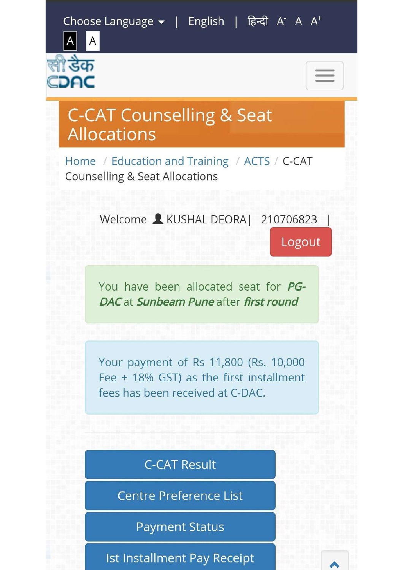